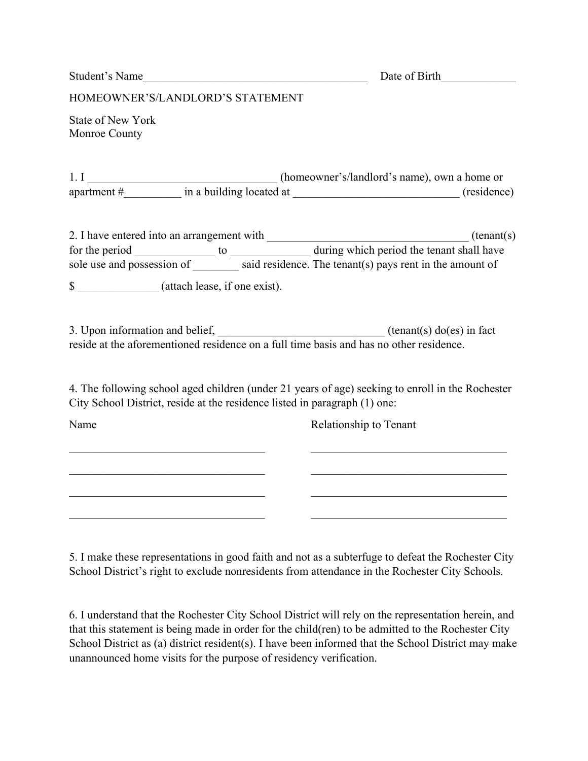Student's Name Date of Birth

HOMEOWNER'S/LANDLORD'S STATEMENT

State of New York Monroe County

1. I \_\_\_\_\_\_\_\_\_\_\_\_\_\_\_\_\_\_\_\_\_\_\_\_\_\_\_\_(homeowner's/landlord's name), own a home or apartment # \_\_\_\_\_\_\_\_\_\_ in a building located at \_\_\_\_\_\_\_\_\_\_\_\_\_\_\_\_\_\_\_\_\_\_\_\_\_\_\_\_\_\_\_\_(residence)

2. I have entered into an arrangement with  $($ tenant(s) for the period \_\_\_\_\_\_\_\_\_\_\_\_\_\_\_ to \_\_\_\_\_\_\_\_\_\_\_\_\_\_\_ during which period the tenant shall have sole use and possession of said residence. The tenant(s) pays rent in the amount of \$

3. Upon information and belief,  $\frac{1}{2}$  (tenant(s) do(es) in fact reside at the aforementioned residence on a full time basis and has no other residence.

4. The following school aged children (under 21 years of age) seeking to enroll in the Rochester City School District, reside at the residence listed in paragraph (1) one:

Name Relationship to Tenant  $\mathcal{L}_\text{max} = \frac{1}{2} \sum_{i=1}^n \mathcal{L}_\text{max}(\mathbf{x}_i - \mathbf{y}_i)$  $\_$  , and the contribution of the contribution of  $\overline{a}$  , and  $\overline{a}$  , and  $\overline{a}$  , and  $\overline{a}$  , and  $\overline{a}$  $\_$  , and the contribution of the contribution of  $\overline{a}$  , and  $\overline{a}$  , and  $\overline{a}$  , and  $\overline{a}$  , and  $\overline{a}$  $\mathcal{L}_\text{max} = \frac{1}{2} \sum_{i=1}^n \mathcal{L}_\text{max}(\mathbf{x}_i - \mathbf{y}_i)$ 

5. I make these representations in good faith and not as a subterfuge to defeat the Rochester City School District's right to exclude nonresidents from attendance in the Rochester City Schools.

6. I understand that the Rochester City School District will rely on the representation herein, and that this statement is being made in order for the child(ren) to be admitted to the Rochester City School District as (a) district resident(s). I have been informed that the School District may make unannounced home visits for the purpose of residency verification.